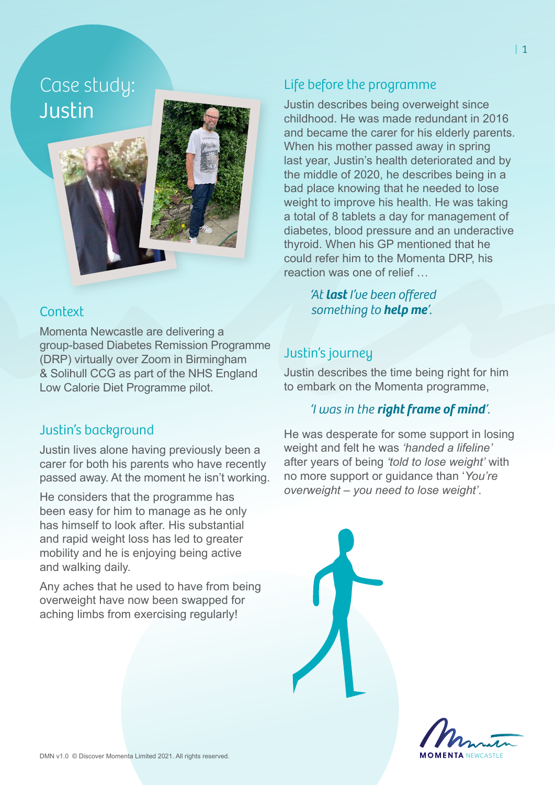Case study: Justin

#### **Context**

Momenta Newcastle are delivering a group-based Diabetes Remission Programme (DRP) virtually over Zoom in Birmingham & Solihull CCG as part of the NHS England Low Calorie Diet Programme pilot.

## Justin's background

Justin lives alone having previously been a carer for both his parents who have recently passed away. At the moment he isn't working.

He considers that the programme has been easy for him to manage as he only has himself to look after. His substantial and rapid weight loss has led to greater mobility and he is enjoying being active and walking daily.

Any aches that he used to have from being overweight have now been swapped for aching limbs from exercising regularly!

## Life before the programme

Justin describes being overweight since childhood. He was made redundant in 2016 and became the carer for his elderly parents. When his mother passed away in spring last year, Justin's health deteriorated and by the middle of 2020, he describes being in a bad place knowing that he needed to lose weight to improve his health. He was taking a total of 8 tablets a day for management of diabetes, blood pressure and an underactive thyroid. When his GP mentioned that he could refer him to the Momenta DRP, his reaction was one of relief …

> *'At last I've been offered something to help me'.*

## Justin's journey

Justin describes the time being right for him to embark on the Momenta programme,

#### *'I was in the right frame of mind'.*

He was desperate for some support in losing weight and felt he was *'handed a lifeline'*  after years of being *'told to lose weight'* with no more support or guidance than '*You're overweight – you need to lose weight'*.

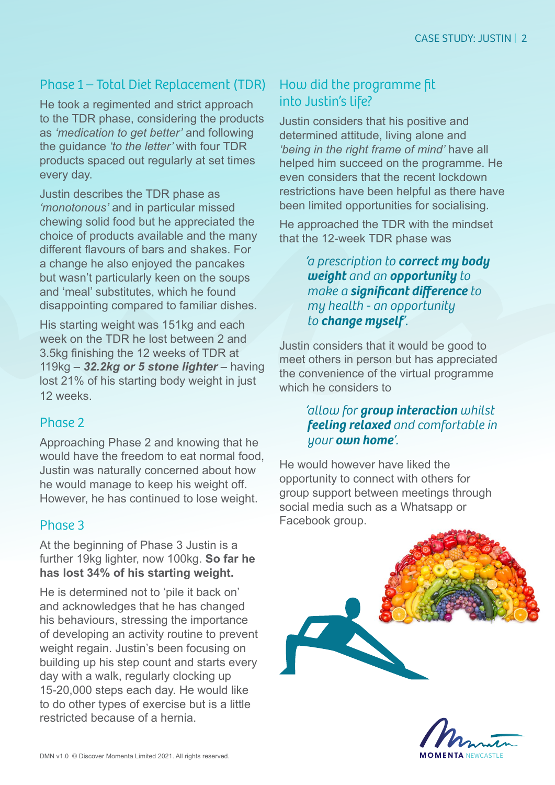## Phase 1 – Total Diet Replacement (TDR)

He took a regimented and strict approach to the TDR phase, considering the products as *'medication to get better'* and following the guidance *'to the letter'* with four TDR products spaced out regularly at set times every day.

Justin describes the TDR phase as *'monotonous'* and in particular missed chewing solid food but he appreciated the choice of products available and the many different flavours of bars and shakes. For a change he also enjoyed the pancakes but wasn't particularly keen on the soups and 'meal' substitutes, which he found disappointing compared to familiar dishes.

His starting weight was 151kg and each week on the TDR he lost between 2 and 3.5kg finishing the 12 weeks of TDR at 119kg – *32.2kg or 5 stone lighter* – having lost 21% of his starting body weight in just 12 weeks.

## Phase 2

Approaching Phase 2 and knowing that he would have the freedom to eat normal food, Justin was naturally concerned about how he would manage to keep his weight off. However, he has continued to lose weight.

## Phase 3

At the beginning of Phase 3 Justin is a further 19kg lighter, now 100kg. **So far he has lost 34% of his starting weight.**

He is determined not to 'pile it back on' and acknowledges that he has changed his behaviours, stressing the importance of developing an activity routine to prevent weight regain. Justin's been focusing on building up his step count and starts every day with a walk, regularly clocking up 15-20,000 steps each day. He would like to do other types of exercise but is a little restricted because of a hernia.

## How did the programme fit into Justin's life?

Justin considers that his positive and determined attitude, living alone and *'being in the right frame of mind'* have all helped him succeed on the programme. He even considers that the recent lockdown restrictions have been helpful as there have been limited opportunities for socialising.

He approached the TDR with the mindset that the 12-week TDR phase was

> *'a prescription to correct my body weight and an opportunity to make a significant difference to my health - an opportunity to change myself'.*

Justin considers that it would be good to meet others in person but has appreciated the convenience of the virtual programme which he considers to

#### *'allow for group interaction whilst feeling relaxed and comfortable in your own home'.*

He would however have liked the opportunity to connect with others for group support between meetings through social media such as a Whatsapp or Facebook group.